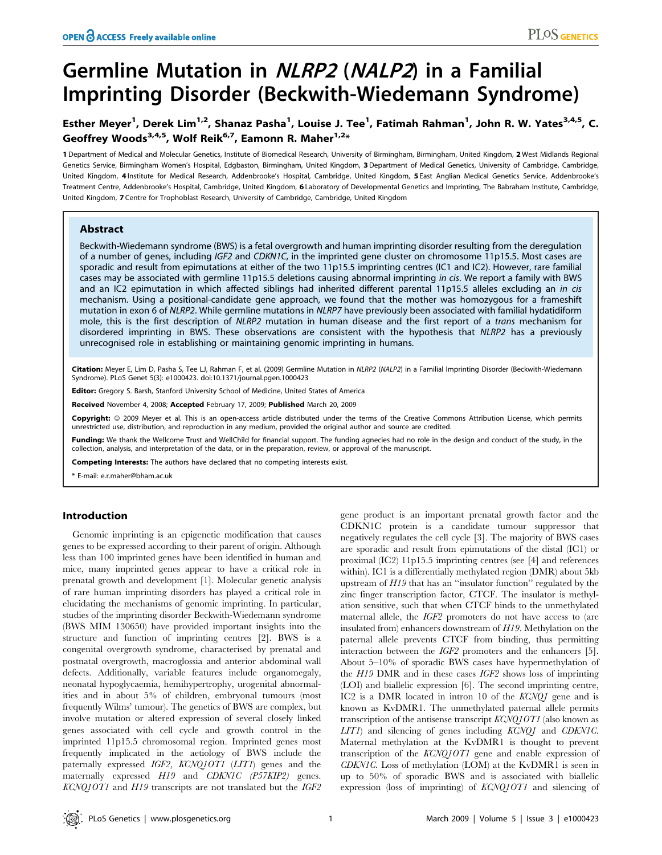# Germline Mutation in NLRP2 (NALP2) in a Familial Imprinting Disorder (Beckwith-Wiedemann Syndrome)

## Esther Meyer<sup>1</sup>, Derek Lim<sup>1,2</sup>, Shanaz Pasha<sup>1</sup>, Louise J. Tee<sup>1</sup>, Fatimah Rahman<sup>1</sup>, John R. W. Yates<sup>3,4,5</sup>, C. Geoffrey Woods<sup>3,4,5</sup>, Wolf Reik<sup>6,7</sup>, Eamonn R. Maher<sup>1,2\*</sup>

1 Department of Medical and Molecular Genetics, Institute of Biomedical Research, University of Birmingham, Birmingham, United Kingdom, 2 West Midlands Regional Genetics Service, Birmingham Women's Hospital, Edgbaston, Birmingham, United Kingdom, 3Department of Medical Genetics, University of Cambridge, Cambridge, United Kingdom, 4 Institute for Medical Research, Addenbrooke's Hospital, Cambridge, United Kingdom, 5 East Anglian Medical Genetics Service, Addenbrooke's Treatment Centre, Addenbrooke's Hospital, Cambridge, United Kingdom, 6 Laboratory of Developmental Genetics and Imprinting, The Babraham Institute, Cambridge, United Kingdom, 7 Centre for Trophoblast Research, University of Cambridge, Cambridge, United Kingdom

## Abstract

Beckwith-Wiedemann syndrome (BWS) is a fetal overgrowth and human imprinting disorder resulting from the deregulation of a number of genes, including IGF2 and CDKN1C, in the imprinted gene cluster on chromosome 11p15.5. Most cases are sporadic and result from epimutations at either of the two 11p15.5 imprinting centres (IC1 and IC2). However, rare familial cases may be associated with germline 11p15.5 deletions causing abnormal imprinting in cis. We report a family with BWS and an IC2 epimutation in which affected siblings had inherited different parental 11p15.5 alleles excluding an in cis mechanism. Using a positional-candidate gene approach, we found that the mother was homozygous for a frameshift mutation in exon 6 of NLRP2. While germline mutations in NLRP7 have previously been associated with familial hydatidiform mole, this is the first description of NLRP2 mutation in human disease and the first report of a trans mechanism for disordered imprinting in BWS. These observations are consistent with the hypothesis that NLRP2 has a previously unrecognised role in establishing or maintaining genomic imprinting in humans.

Citation: Meyer E, Lim D, Pasha S, Tee LJ, Rahman F, et al. (2009) Germline Mutation in NLRP2 (NALP2) in a Familial Imprinting Disorder (Beckwith-Wiedemann Syndrome). PLoS Genet 5(3): e1000423. doi:10.1371/journal.pgen.1000423

Editor: Gregory S. Barsh, Stanford University School of Medicine, United States of America

Received November 4, 2008; Accepted February 17, 2009; Published March 20, 2009

Copyright: @ 2009 Meyer et al. This is an open-access article distributed under the terms of the Creative Commons Attribution License, which permits unrestricted use, distribution, and reproduction in any medium, provided the original author and source are credited.

Funding: We thank the Wellcome Trust and WellChild for financial support. The funding agnecies had no role in the design and conduct of the study, in the collection, analysis, and interpretation of the data, or in the preparation, review, or approval of the manuscript.

Competing Interests: The authors have declared that no competing interests exist.

\* E-mail: e.r.maher@bham.ac.uk

## Introduction

Genomic imprinting is an epigenetic modification that causes genes to be expressed according to their parent of origin. Although less than 100 imprinted genes have been identified in human and mice, many imprinted genes appear to have a critical role in prenatal growth and development [1]. Molecular genetic analysis of rare human imprinting disorders has played a critical role in elucidating the mechanisms of genomic imprinting. In particular, studies of the imprinting disorder Beckwith-Wiedemann syndrome (BWS MIM 130650) have provided important insights into the structure and function of imprinting centres [2]. BWS is a congenital overgrowth syndrome, characterised by prenatal and postnatal overgrowth, macroglossia and anterior abdominal wall defects. Additionally, variable features include organomegaly, neonatal hypoglycaemia, hemihypertrophy, urogenital abnormalities and in about 5% of children, embryonal tumours (most frequently Wilms' tumour). The genetics of BWS are complex, but involve mutation or altered expression of several closely linked genes associated with cell cycle and growth control in the imprinted 11p15.5 chromosomal region. Imprinted genes most frequently implicated in the aetiology of BWS include the paternally expressed IGF2, KCNQ1OT1 (LIT1) genes and the maternally expressed H19 and CDKN1C (P57KIP2) genes. KCNQ1OT1 and H19 transcripts are not translated but the IGF2

gene product is an important prenatal growth factor and the CDKN1C protein is a candidate tumour suppressor that negatively regulates the cell cycle [3]. The majority of BWS cases are sporadic and result from epimutations of the distal (IC1) or proximal (IC2) 11p15.5 imprinting centres (see [4] and references within). IC1 is a differentially methylated region (DMR) about 5kb upstream of H19 that has an ''insulator function'' regulated by the zinc finger transcription factor, CTCF. The insulator is methylation sensitive, such that when CTCF binds to the unmethylated maternal allele, the IGF2 promoters do not have access to (are insulated from) enhancers downstream of H19. Methylation on the paternal allele prevents CTCF from binding, thus permitting interaction between the IGF2 promoters and the enhancers [5]. About 5–10% of sporadic BWS cases have hypermethylation of the H19 DMR and in these cases IGF2 shows loss of imprinting (LOI) and biallelic expression [6]. The second imprinting centre, IC2 is a DMR located in intron 10 of the KCNQ1 gene and is known as KvDMR1. The unmethylated paternal allele permits transcription of the antisense transcript KCNQ1OT1 (also known as LIT1) and silencing of genes including KCNQ1 and CDKN1C. Maternal methylation at the KvDMR1 is thought to prevent transcription of the KCNQ1OT1 gene and enable expression of CDKN1C. Loss of methylation (LOM) at the KvDMR1 is seen in up to 50% of sporadic BWS and is associated with biallelic expression (loss of imprinting) of KCNQ1OT1 and silencing of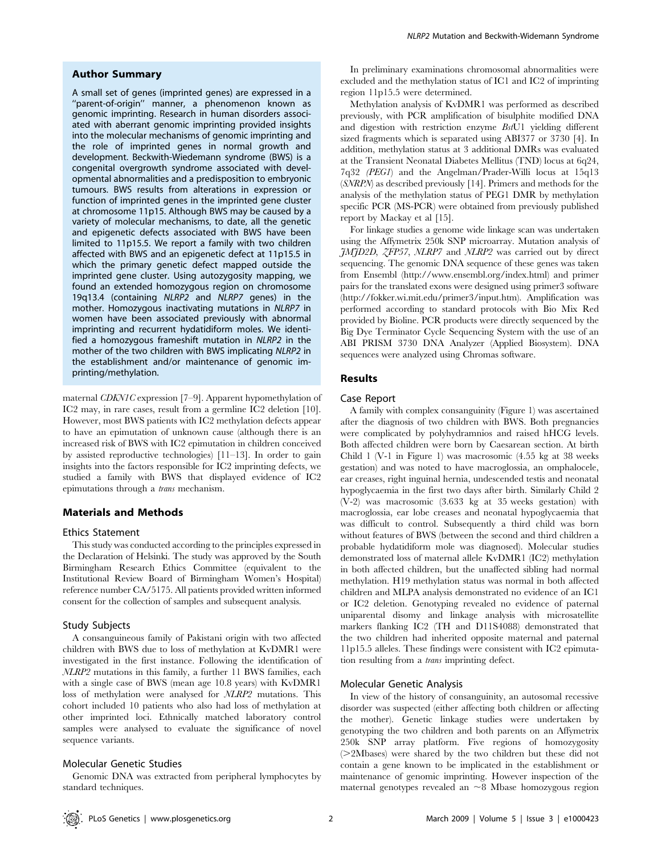## Author Summary

A small set of genes (imprinted genes) are expressed in a "parent-of-origin" manner, a phenomenon known as genomic imprinting. Research in human disorders associated with aberrant genomic imprinting provided insights into the molecular mechanisms of genomic imprinting and the role of imprinted genes in normal growth and development. Beckwith-Wiedemann syndrome (BWS) is a congenital overgrowth syndrome associated with developmental abnormalities and a predisposition to embryonic tumours. BWS results from alterations in expression or function of imprinted genes in the imprinted gene cluster at chromosome 11p15. Although BWS may be caused by a variety of molecular mechanisms, to date, all the genetic and epigenetic defects associated with BWS have been limited to 11p15.5. We report a family with two children affected with BWS and an epigenetic defect at 11p15.5 in which the primary genetic defect mapped outside the imprinted gene cluster. Using autozygosity mapping, we found an extended homozygous region on chromosome 19q13.4 (containing NLRP2 and NLRP7 genes) in the mother. Homozygous inactivating mutations in NLRP7 in women have been associated previously with abnormal imprinting and recurrent hydatidiform moles. We identified a homozygous frameshift mutation in NLRP2 in the mother of the two children with BWS implicating NLRP2 in the establishment and/or maintenance of genomic imprinting/methylation.

maternal CDKN1C expression [7–9]. Apparent hypomethylation of IC2 may, in rare cases, result from a germline IC2 deletion [10]. However, most BWS patients with IC2 methylation defects appear to have an epimutation of unknown cause (although there is an increased risk of BWS with IC2 epimutation in children conceived by assisted reproductive technologies) [11–13]. In order to gain insights into the factors responsible for IC2 imprinting defects, we studied a family with BWS that displayed evidence of IC2 epimutations through a trans mechanism.

#### Materials and Methods

#### Ethics Statement

This study was conducted according to the principles expressed in the Declaration of Helsinki. The study was approved by the South Birmingham Research Ethics Committee (equivalent to the Institutional Review Board of Birmingham Women's Hospital) reference number CA/5175. All patients provided written informed consent for the collection of samples and subsequent analysis.

#### Study Subjects

A consanguineous family of Pakistani origin with two affected children with BWS due to loss of methylation at KvDMR1 were investigated in the first instance. Following the identification of NLRP2 mutations in this family, a further 11 BWS families, each with a single case of BWS (mean age 10.8 years) with KvDMR1 loss of methylation were analysed for NLRP2 mutations. This cohort included 10 patients who also had loss of methylation at other imprinted loci. Ethnically matched laboratory control samples were analysed to evaluate the significance of novel sequence variants.

#### Molecular Genetic Studies

Genomic DNA was extracted from peripheral lymphocytes by standard techniques.

In preliminary examinations chromosomal abnormalities were excluded and the methylation status of IC1 and IC2 of imprinting region 11p15.5 were determined.

Methylation analysis of KvDMR1 was performed as described previously, with PCR amplification of bisulphite modified DNA and digestion with restriction enzyme BstU1 yielding different sized fragments which is separated using ABI377 or 3730 [4]. In addition, methylation status at 3 additional DMRs was evaluated at the Transient Neonatal Diabetes Mellitus (TND) locus at 6q24, 7q32 (PEG1) and the Angelman/Prader-Willi locus at 15q13 (SNRPN) as described previously [14]. Primers and methods for the analysis of the methylation status of PEG1 DMR by methylation specific PCR (MS-PCR) were obtained from previously published report by Mackay et al [15].

For linkage studies a genome wide linkage scan was undertaken using the Affymetrix 250k SNP microarray. Mutation analysis of JMJD2D, ZFP57, NLRP7 and NLRP2 was carried out by direct sequencing. The genomic DNA sequence of these genes was taken from Ensembl (http://www.ensembl.org/index.html) and primer pairs for the translated exons were designed using primer3 software (http://fokker.wi.mit.edu/primer3/input.htm). Amplification was performed according to standard protocols with Bio Mix Red provided by Bioline. PCR products were directly sequenced by the Big Dye Terminator Cycle Sequencing System with the use of an ABI PRISM 3730 DNA Analyzer (Applied Biosystem). DNA sequences were analyzed using Chromas software.

## Results

#### Case Report

A family with complex consanguinity (Figure 1) was ascertained after the diagnosis of two children with BWS. Both pregnancies were complicated by polyhydramnios and raised hHCG levels. Both affected children were born by Caesarean section. At birth Child 1 (V-1 in Figure 1) was macrosomic (4.55 kg at 38 weeks gestation) and was noted to have macroglossia, an omphalocele, ear creases, right inguinal hernia, undescended testis and neonatal hypoglycaemia in the first two days after birth. Similarly Child 2 (V-2) was macrosomic (3.633 kg at 35 weeks gestation) with macroglossia, ear lobe creases and neonatal hypoglycaemia that was difficult to control. Subsequently a third child was born without features of BWS (between the second and third children a probable hydatidiform mole was diagnosed). Molecular studies demonstrated loss of maternal allele KvDMR1 (IC2) methylation in both affected children, but the unaffected sibling had normal methylation. H19 methylation status was normal in both affected children and MLPA analysis demonstrated no evidence of an IC1 or IC2 deletion. Genotyping revealed no evidence of paternal uniparental disomy and linkage analysis with microsatellite markers flanking IC2 (TH and D11S4088) demonstrated that the two children had inherited opposite maternal and paternal 11p15.5 alleles. These findings were consistent with IC2 epimutation resulting from a trans imprinting defect.

#### Molecular Genetic Analysis

In view of the history of consanguinity, an autosomal recessive disorder was suspected (either affecting both children or affecting the mother). Genetic linkage studies were undertaken by genotyping the two children and both parents on an Affymetrix 250k SNP array platform. Five regions of homozygosity (*.*2Mbases) were shared by the two children but these did not contain a gene known to be implicated in the establishment or maintenance of genomic imprinting. However inspection of the maternal genotypes revealed an  $\sim$ 8 Mbase homozygous region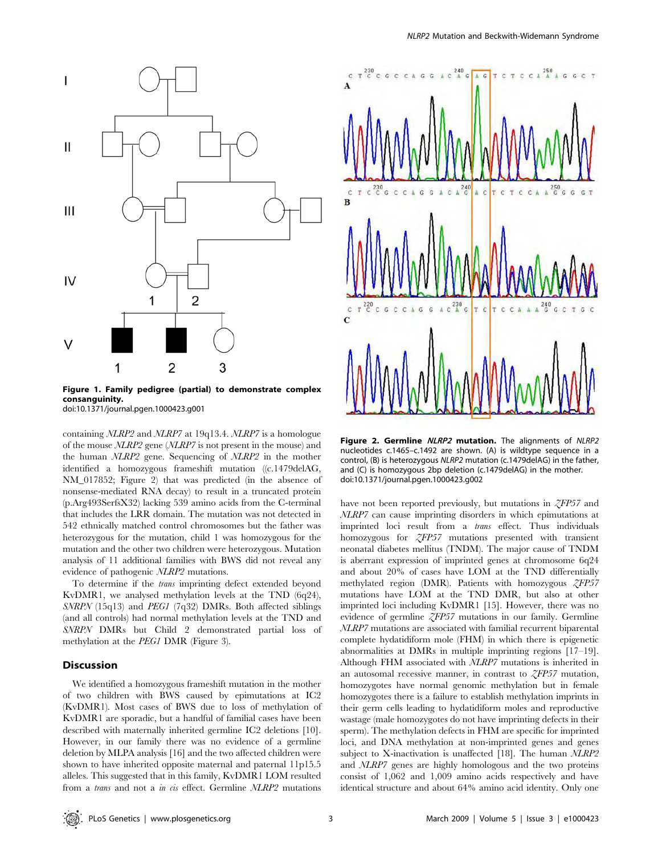

Figure 1. Family pedigree (partial) to demonstrate complex consanguinity.

doi:10.1371/journal.pgen.1000423.g001

containing NLRP2 and NLRP7 at 19q13.4. NLRP7 is a homologue of the mouse NLRP2 gene (NLRP7 is not present in the mouse) and the human NLRP2 gene. Sequencing of NLRP2 in the mother identified a homozygous frameshift mutation ((c.1479delAG, NM\_017852; Figure 2) that was predicted (in the absence of nonsense-mediated RNA decay) to result in a truncated protein (p.Arg493SerfsX32) lacking 539 amino acids from the C-terminal that includes the LRR domain. The mutation was not detected in 542 ethnically matched control chromosomes but the father was heterozygous for the mutation, child 1 was homozygous for the mutation and the other two children were heterozygous. Mutation analysis of 11 additional families with BWS did not reveal any evidence of pathogenic NLRP2 mutations.

To determine if the trans imprinting defect extended beyond KvDMR1, we analysed methylation levels at the TND (6q24), SNRPN (15q13) and PEG1 (7q32) DMRs. Both affected siblings (and all controls) had normal methylation levels at the TND and SNRPN DMRs but Child 2 demonstrated partial loss of methylation at the PEG1 DMR (Figure 3).

## Discussion

We identified a homozygous frameshift mutation in the mother of two children with BWS caused by epimutations at IC2 (KvDMR1). Most cases of BWS due to loss of methylation of KvDMR1 are sporadic, but a handful of familial cases have been described with maternally inherited germline IC2 deletions [10]. However, in our family there was no evidence of a germline deletion by MLPA analysis [16] and the two affected children were shown to have inherited opposite maternal and paternal 11p15.5 alleles. This suggested that in this family, KvDMR1 LOM resulted from a trans and not a in cis effect. Germline NLRP2 mutations



Figure 2. Germline NLRP2 mutation. The alignments of NLRP2 nucleotides c.1465–c.1492 are shown. (A) is wildtype sequence in a control, (B) is heterozygous NLRP2 mutation (c.1479delAG) in the father, and (C) is homozygous 2bp deletion (c.1479delAG) in the mother. doi:10.1371/journal.pgen.1000423.g002

have not been reported previously, but mutations in *ZFP57* and NLRP7 can cause imprinting disorders in which epimutations at imprinted loci result from a trans effect. Thus individuals homozygous for ZFP57 mutations presented with transient neonatal diabetes mellitus (TNDM). The major cause of TNDM is aberrant expression of imprinted genes at chromosome 6q24 and about 20% of cases have LOM at the TND differentially methylated region (DMR). Patients with homozygous  $ZFP57$ mutations have LOM at the TND DMR, but also at other imprinted loci including KvDMR1 [15]. However, there was no evidence of germline ZFP57 mutations in our family. Germline NLRP7 mutations are associated with familial recurrent biparental complete hydatidiform mole (FHM) in which there is epigenetic abnormalities at DMRs in multiple imprinting regions [17–19]. Although FHM associated with NLRP7 mutations is inherited in an autosomal recessive manner, in contrast to  $ZFP57$  mutation, homozygotes have normal genomic methylation but in female homozygotes there is a failure to establish methylation imprints in their germ cells leading to hydatidiform moles and reproductive wastage (male homozygotes do not have imprinting defects in their sperm). The methylation defects in FHM are specific for imprinted loci, and DNA methylation at non-imprinted genes and genes subject to X-inactivation is unaffected [18]. The human NLRP2 and NLRP7 genes are highly homologous and the two proteins consist of 1,062 and 1,009 amino acids respectively and have identical structure and about 64% amino acid identity. Only one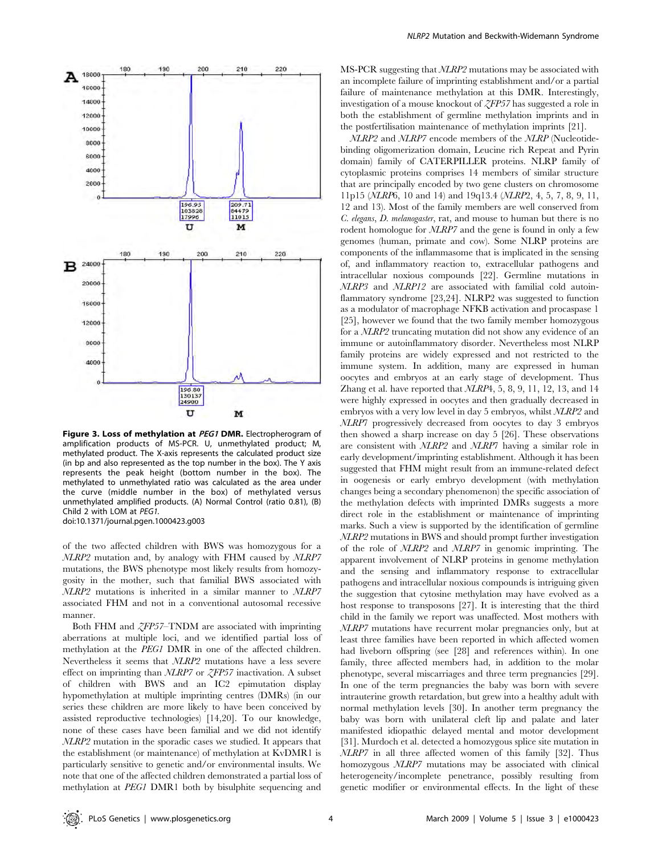

Figure 3. Loss of methylation at PEG1 DMR. Electropherogram of amplification products of MS-PCR. U, unmethylated product; M, methylated product. The X-axis represents the calculated product size (in bp and also represented as the top number in the box). The Y axis represents the peak height (bottom number in the box). The methylated to unmethylated ratio was calculated as the area under the curve (middle number in the box) of methylated versus unmethylated amplified products. (A) Normal Control (ratio 0.81), (B) Child 2 with LOM at PEG1. doi:10.1371/journal.pgen.1000423.g003

of the two affected children with BWS was homozygous for a NLRP2 mutation and, by analogy with FHM caused by NLRP7 mutations, the BWS phenotype most likely results from homozygosity in the mother, such that familial BWS associated with NLRP2 mutations is inherited in a similar manner to NLRP7 associated FHM and not in a conventional autosomal recessive manner.

Both FHM and *ZFP57*–TNDM are associated with imprinting aberrations at multiple loci, and we identified partial loss of methylation at the PEG1 DMR in one of the affected children. Nevertheless it seems that NLRP2 mutations have a less severe effect on imprinting than  $NLRP7$  or  $ZFP57$  inactivation. A subset of children with BWS and an IC2 epimutation display hypomethylation at multiple imprinting centres (DMRs) (in our series these children are more likely to have been conceived by assisted reproductive technologies) [14,20]. To our knowledge, none of these cases have been familial and we did not identify NLRP2 mutation in the sporadic cases we studied. It appears that the establishment (or maintenance) of methylation at KvDMR1 is particularly sensitive to genetic and/or environmental insults. We note that one of the affected children demonstrated a partial loss of methylation at PEG1 DMR1 both by bisulphite sequencing and MS-PCR suggesting that NLRP2 mutations may be associated with an incomplete failure of imprinting establishment and/or a partial failure of maintenance methylation at this DMR. Interestingly, investigation of a mouse knockout of ZFP57 has suggested a role in both the establishment of germline methylation imprints and in the postfertilisation maintenance of methylation imprints [21].

NLRP2 and NLRP7 encode members of the NLRP (Nucleotidebinding oligomerization domain, Leucine rich Repeat and Pyrin domain) family of CATERPILLER proteins. NLRP family of cytoplasmic proteins comprises 14 members of similar structure that are principally encoded by two gene clusters on chromosome 11p15 (NLRP6, 10 and 14) and 19q13.4 (NLRP2, 4, 5, 7, 8, 9, 11, 12 and 13). Most of the family members are well conserved from C. elegans, D. melanogaster, rat, and mouse to human but there is no rodent homologue for *NLRP7* and the gene is found in only a few genomes (human, primate and cow). Some NLRP proteins are components of the inflammasome that is implicated in the sensing of, and inflammatory reaction to, extracellular pathogens and intracellular noxious compounds [22]. Germline mutations in NLRP3 and NLRP12 are associated with familial cold autoinflammatory syndrome [23,24]. NLRP2 was suggested to function as a modulator of macrophage NFKB activation and procaspase 1 [25], however we found that the two family member homozygous for a NLRP2 truncating mutation did not show any evidence of an immune or autoinflammatory disorder. Nevertheless most NLRP family proteins are widely expressed and not restricted to the immune system. In addition, many are expressed in human oocytes and embryos at an early stage of development. Thus Zhang et al. have reported that NLRP4, 5, 8, 9, 11, 12, 13, and 14 were highly expressed in oocytes and then gradually decreased in embryos with a very low level in day 5 embryos, whilst NLRP2 and NLRP7 progressively decreased from oocytes to day 3 embryos then showed a sharp increase on day 5 [26]. These observations are consistent with NLRP2 and NLRP7 having a similar role in early development/imprinting establishment. Although it has been suggested that FHM might result from an immune-related defect in oogenesis or early embryo development (with methylation changes being a secondary phenomenon) the specific association of the methylation defects with imprinted DMRs suggests a more direct role in the establishment or maintenance of imprinting marks. Such a view is supported by the identification of germline NLRP2 mutations in BWS and should prompt further investigation of the role of NLRP2 and NLRP7 in genomic imprinting. The apparent involvement of NLRP proteins in genome methylation and the sensing and inflammatory response to extracellular pathogens and intracellular noxious compounds is intriguing given the suggestion that cytosine methylation may have evolved as a host response to transposons [27]. It is interesting that the third child in the family we report was unaffected. Most mothers with NLRP7 mutations have recurrent molar pregnancies only, but at least three families have been reported in which affected women had liveborn offspring (see [28] and references within). In one family, three affected members had, in addition to the molar phenotype, several miscarriages and three term pregnancies [29]. In one of the term pregnancies the baby was born with severe intrauterine growth retardation, but grew into a healthy adult with normal methylation levels [30]. In another term pregnancy the baby was born with unilateral cleft lip and palate and later manifested idiopathic delayed mental and motor development [31]. Murdoch et al. detected a homozygous splice site mutation in NLRP7 in all three affected women of this family [32]. Thus homozygous NLRP7 mutations may be associated with clinical heterogeneity/incomplete penetrance, possibly resulting from genetic modifier or environmental effects. In the light of these